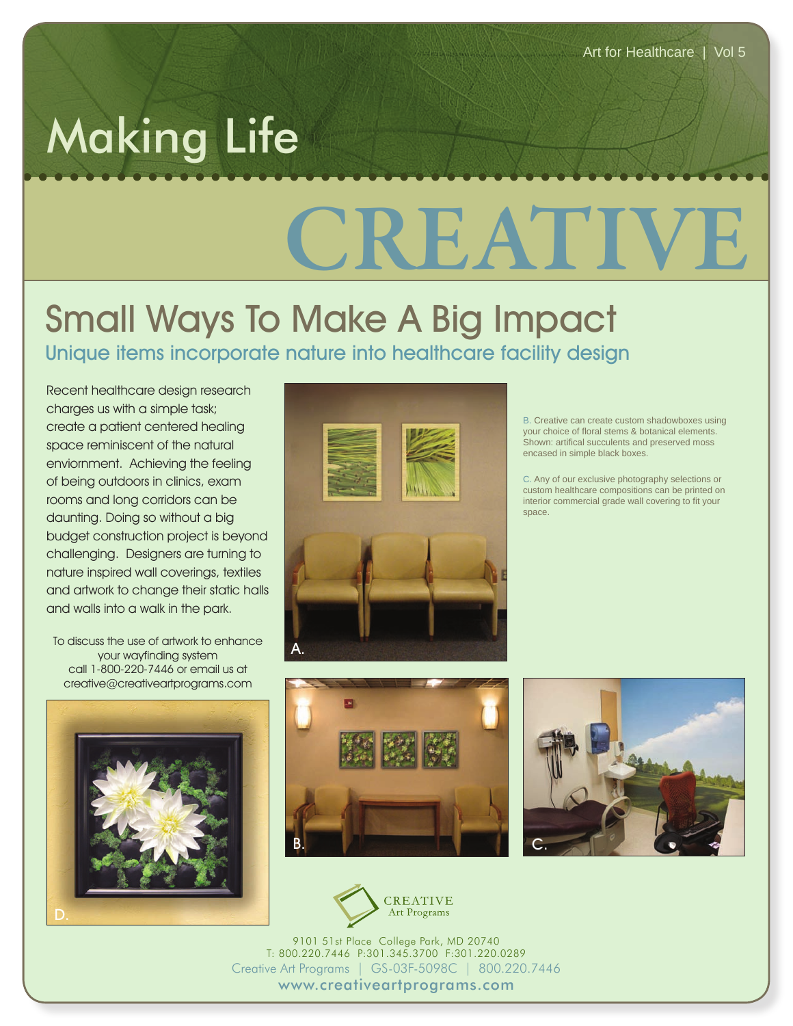## Making Life

## CREAT

## Small Ways To Make A Big Impact Unique items incorporate nature into healthcare facility design

Recent healthcare design research charges us with a simple task; create a patient centered healing space reminiscent of the natural enviornment. Achieving the feeling of being outdoors in clinics, exam rooms and long corridors can be daunting. Doing so without a big budget construction project is beyond challenging. Designers are turning to nature inspired wall coverings, textiles and artwork to change their static halls and walls into a walk in the park.

To discuss the use of artwork to enhance your wayfinding system call 1-800-220-7446 or email us at creative@creativeartprograms.com





B. Creative can create custom shadowboxes using your choice of floral stems & botanical elements. Shown: artifical succulents and preserved moss encased in simple black boxes.

C. Any of our exclusive photography selections or custom healthcare compositions can be printed on interior commercial grade wall covering to fit your space.







9101 51st Place College Park, MD 20740 T: 800.220.7446 P:301.345.3700 F:301.220.0289 Creative Art Programs | GS-03F-5098C | 800.220.7446 www.creativeartprograms.com